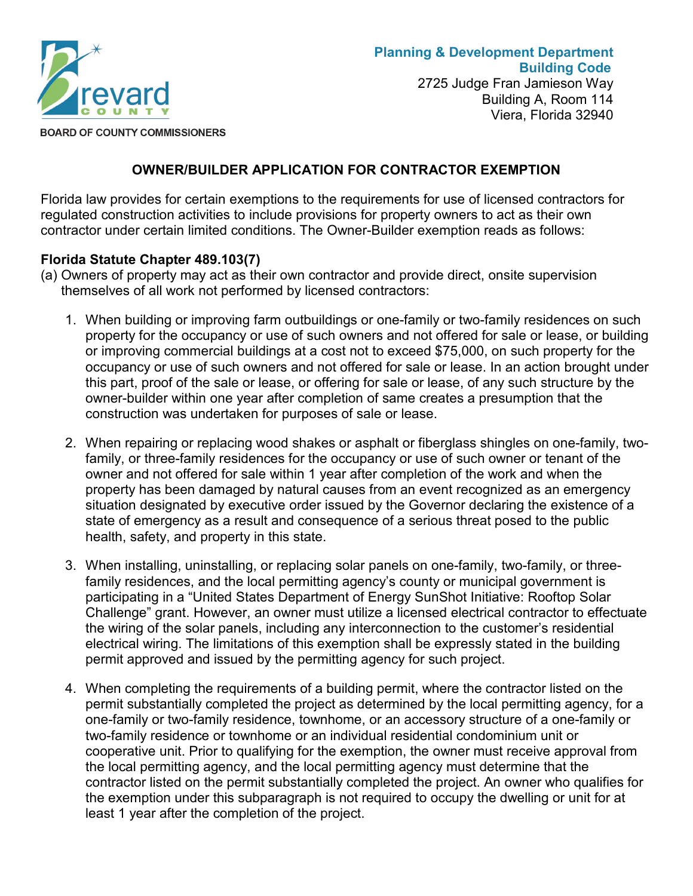

**BOARD OF COUNTY COMMISSIONERS** 

## **OWNER/BUILDER APPLICATION FOR CONTRACTOR EXEMPTION**

Florida law provides for certain exemptions to the requirements for use of licensed contractors for regulated construction activities to include provisions for property owners to act as their own contractor under certain limited conditions. The Owner-Builder exemption reads as follows:

## **Florida Statute Chapter 489.103(7)**

- (a) Owners of property may act as their own contractor and provide direct, onsite supervision themselves of all work not performed by licensed contractors:
	- 1. When building or improving farm outbuildings or one-family or two-family residences on such property for the occupancy or use of such owners and not offered for sale or lease, or building or improving commercial buildings at a cost not to exceed \$75,000, on such property for the occupancy or use of such owners and not offered for sale or lease. In an action brought under this part, proof of the sale or lease, or offering for sale or lease, of any such structure by the owner-builder within one year after completion of same creates a presumption that the construction was undertaken for purposes of sale or lease.
	- 2. When repairing or replacing wood shakes or asphalt or fiberglass shingles on one-family, twofamily, or three-family residences for the occupancy or use of such owner or tenant of the owner and not offered for sale within 1 year after completion of the work and when the property has been damaged by natural causes from an event recognized as an emergency situation designated by executive order issued by the Governor declaring the existence of a state of emergency as a result and consequence of a serious threat posed to the public health, safety, and property in this state.
	- 3. When installing, uninstalling, or replacing solar panels on one-family, two-family, or threefamily residences, and the local permitting agency's county or municipal government is participating in a "United States Department of Energy SunShot Initiative: Rooftop Solar Challenge" grant. However, an owner must utilize a licensed electrical contractor to effectuate the wiring of the solar panels, including any interconnection to the customer's residential electrical wiring. The limitations of this exemption shall be expressly stated in the building permit approved and issued by the permitting agency for such project.
	- 4. When completing the requirements of a building permit, where the contractor listed on the permit substantially completed the project as determined by the local permitting agency, for a one-family or two-family residence, townhome, or an accessory structure of a one-family or two-family residence or townhome or an individual residential condominium unit or cooperative unit. Prior to qualifying for the exemption, the owner must receive approval from the local permitting agency, and the local permitting agency must determine that the contractor listed on the permit substantially completed the project. An owner who qualifies for the exemption under this subparagraph is not required to occupy the dwelling or unit for at least 1 year after the completion of the project.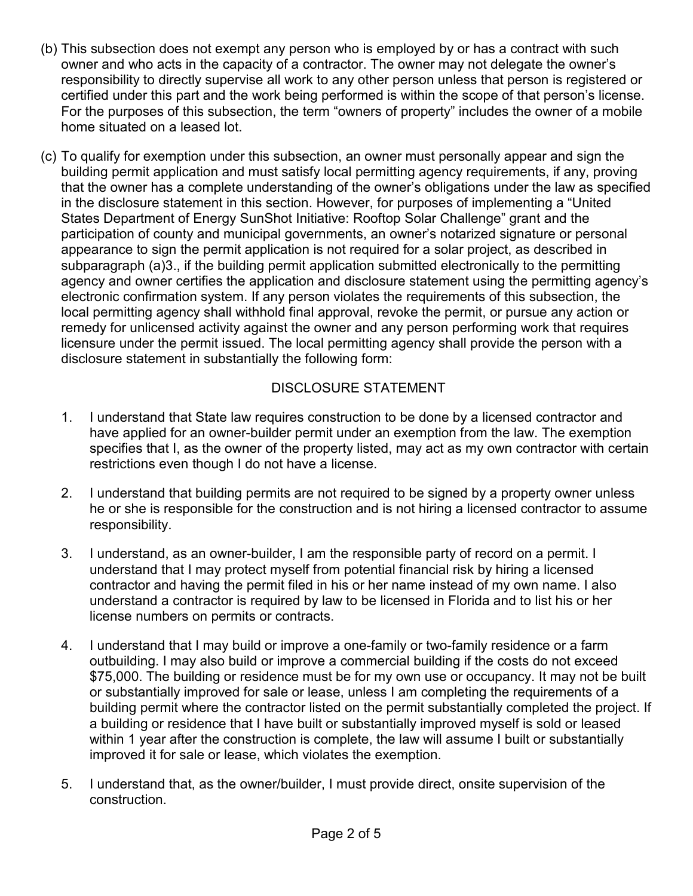- (b) This subsection does not exempt any person who is employed by or has a contract with such owner and who acts in the capacity of a contractor. The owner may not delegate the owner's responsibility to directly supervise all work to any other person unless that person is registered or certified under this part and the work being performed is within the scope of that person's license. For the purposes of this subsection, the term "owners of property" includes the owner of a mobile home situated on a leased lot.
- (c) To qualify for exemption under this subsection, an owner must personally appear and sign the building permit application and must satisfy local permitting agency requirements, if any, proving that the owner has a complete understanding of the owner's obligations under the law as specified in the disclosure statement in this section. However, for purposes of implementing a "United States Department of Energy SunShot Initiative: Rooftop Solar Challenge" grant and the participation of county and municipal governments, an owner's notarized signature or personal appearance to sign the permit application is not required for a solar project, as described in subparagraph (a)3., if the building permit application submitted electronically to the permitting agency and owner certifies the application and disclosure statement using the permitting agency's electronic confirmation system. If any person violates the requirements of this subsection, the local permitting agency shall withhold final approval, revoke the permit, or pursue any action or remedy for unlicensed activity against the owner and any person performing work that requires licensure under the permit issued. The local permitting agency shall provide the person with a disclosure statement in substantially the following form:

## DISCLOSURE STATEMENT

- 1. I understand that State law requires construction to be done by a licensed contractor and have applied for an owner-builder permit under an exemption from the law. The exemption specifies that I, as the owner of the property listed, may act as my own contractor with certain restrictions even though I do not have a license.
- 2. I understand that building permits are not required to be signed by a property owner unless he or she is responsible for the construction and is not hiring a licensed contractor to assume responsibility.
- 3. I understand, as an owner-builder, I am the responsible party of record on a permit. I understand that I may protect myself from potential financial risk by hiring a licensed contractor and having the permit filed in his or her name instead of my own name. I also understand a contractor is required by law to be licensed in Florida and to list his or her license numbers on permits or contracts.
- 4. I understand that I may build or improve a one-family or two-family residence or a farm outbuilding. I may also build or improve a commercial building if the costs do not exceed \$75,000. The building or residence must be for my own use or occupancy. It may not be built or substantially improved for sale or lease, unless I am completing the requirements of a building permit where the contractor listed on the permit substantially completed the project. If a building or residence that I have built or substantially improved myself is sold or leased within 1 year after the construction is complete, the law will assume I built or substantially improved it for sale or lease, which violates the exemption.
- 5. I understand that, as the owner/builder, I must provide direct, onsite supervision of the construction.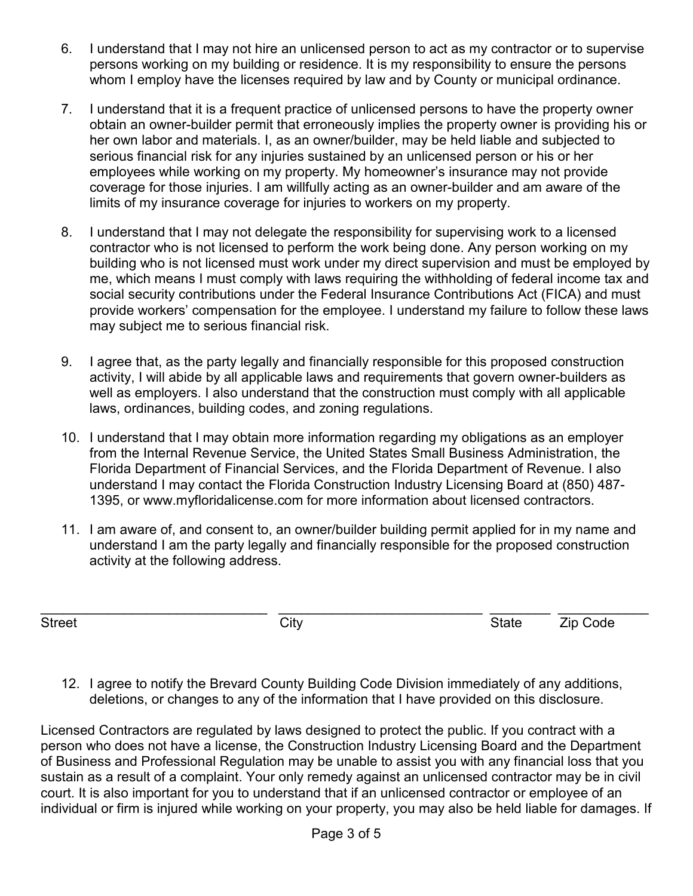- 6. I understand that I may not hire an unlicensed person to act as my contractor or to supervise persons working on my building or residence. It is my responsibility to ensure the persons whom I employ have the licenses required by law and by County or municipal ordinance.
- 7. I understand that it is a frequent practice of unlicensed persons to have the property owner obtain an owner-builder permit that erroneously implies the property owner is providing his or her own labor and materials. I, as an owner/builder, may be held liable and subjected to serious financial risk for any injuries sustained by an unlicensed person or his or her employees while working on my property. My homeowner's insurance may not provide coverage for those injuries. I am willfully acting as an owner-builder and am aware of the limits of my insurance coverage for injuries to workers on my property.
- 8. I understand that I may not delegate the responsibility for supervising work to a licensed contractor who is not licensed to perform the work being done. Any person working on my building who is not licensed must work under my direct supervision and must be employed by me, which means I must comply with laws requiring the withholding of federal income tax and social security contributions under the Federal Insurance Contributions Act (FICA) and must provide workers' compensation for the employee. I understand my failure to follow these laws may subject me to serious financial risk.
- 9. I agree that, as the party legally and financially responsible for this proposed construction activity, I will abide by all applicable laws and requirements that govern owner-builders as well as employers. I also understand that the construction must comply with all applicable laws, ordinances, building codes, and zoning regulations.
- 10. I understand that I may obtain more information regarding my obligations as an employer from the Internal Revenue Service, the United States Small Business Administration, the Florida Department of Financial Services, and the Florida Department of Revenue. I also understand I may contact the Florida Construction Industry Licensing Board at (850) 487- 1395, or www.myfloridalicense.com for more information about licensed contractors.
- 11. I am aware of, and consent to, an owner/builder building permit applied for in my name and understand I am the party legally and financially responsible for the proposed construction activity at the following address.

\_\_\_\_\_\_\_\_\_\_\_\_\_\_\_\_\_\_\_\_\_\_\_\_\_\_\_\_\_\_ \_\_\_\_\_\_\_\_\_\_\_\_\_\_\_\_\_\_\_\_\_\_\_\_\_\_\_ \_\_\_\_\_\_\_\_ \_\_\_\_\_\_\_\_\_\_\_\_ Street City State Zip Code

12. I agree to notify the Brevard County Building Code Division immediately of any additions, deletions, or changes to any of the information that I have provided on this disclosure.

Licensed Contractors are regulated by laws designed to protect the public. If you contract with a person who does not have a license, the Construction Industry Licensing Board and the Department of Business and Professional Regulation may be unable to assist you with any financial loss that you sustain as a result of a complaint. Your only remedy against an unlicensed contractor may be in civil court. It is also important for you to understand that if an unlicensed contractor or employee of an individual or firm is injured while working on your property, you may also be held liable for damages. If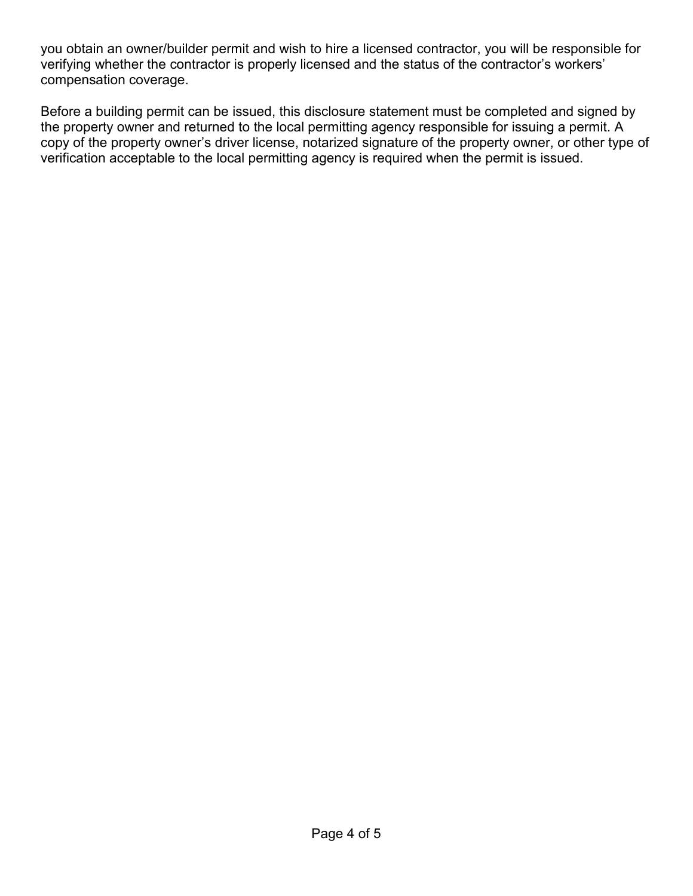you obtain an owner/builder permit and wish to hire a licensed contractor, you will be responsible for verifying whether the contractor is properly licensed and the status of the contractor's workers' compensation coverage.

Before a building permit can be issued, this disclosure statement must be completed and signed by the property owner and returned to the local permitting agency responsible for issuing a permit. A copy of the property owner's driver license, notarized signature of the property owner, or other type of verification acceptable to the local permitting agency is required when the permit is issued.